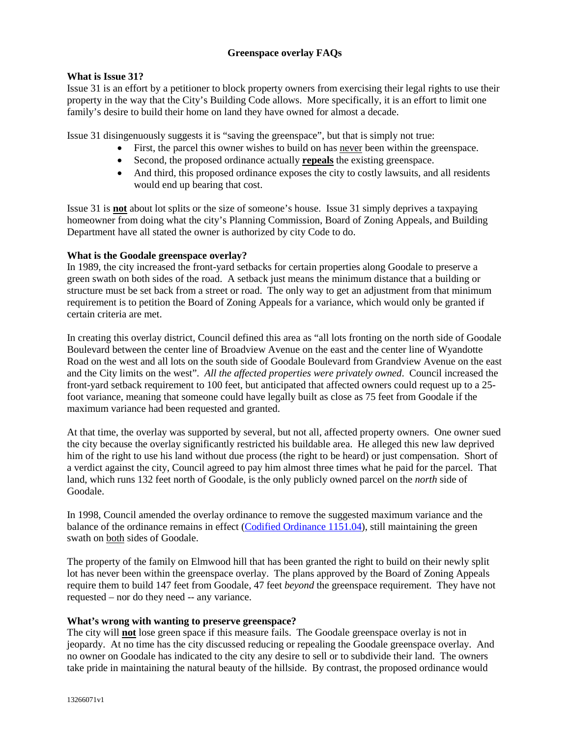# **Greenspace overlay FAQs**

#### **What is Issue 31?**

Issue 31 is an effort by a petitioner to block property owners from exercising their legal rights to use their property in the way that the City's Building Code allows. More specifically, it is an effort to limit one family's desire to build their home on land they have owned for almost a decade.

Issue 31 disingenuously suggests it is "saving the greenspace", but that is simply not true:

- First, the parcel this owner wishes to build on has never been within the greenspace.
- Second, the proposed ordinance actually **repeals** the existing greenspace.
- And third, this proposed ordinance exposes the city to costly lawsuits, and all residents would end up bearing that cost.

Issue 31 is **not** about lot splits or the size of someone's house. Issue 31 simply deprives a taxpaying homeowner from doing what the city's Planning Commission, Board of Zoning Appeals, and Building Department have all stated the owner is authorized by city Code to do.

#### **What is the Goodale greenspace overlay?**

In 1989, the city increased the front-yard setbacks for certain properties along Goodale to preserve a green swath on both sides of the road. A setback just means the minimum distance that a building or structure must be set back from a street or road. The only way to get an adjustment from that minimum requirement is to petition the Board of Zoning Appeals for a variance, which would only be granted if certain criteria are met.

In creating this overlay district, Council defined this area as "all lots fronting on the north side of Goodale Boulevard between the center line of Broadview Avenue on the east and the center line of Wyandotte Road on the west and all lots on the south side of Goodale Boulevard from Grandview Avenue on the east and the City limits on the west". *All the affected properties were privately owned*. Council increased the front-yard setback requirement to 100 feet, but anticipated that affected owners could request up to a 25 foot variance, meaning that someone could have legally built as close as 75 feet from Goodale if the maximum variance had been requested and granted.

At that time, the overlay was supported by several, but not all, affected property owners. One owner sued the city because the overlay significantly restricted his buildable area. He alleged this new law deprived him of the right to use his land without due process (the right to be heard) or just compensation. Short of a verdict against the city, Council agreed to pay him almost three times what he paid for the parcel. That land, which runs 132 feet north of Goodale, is the only publicly owned parcel on the *north* side of Goodale.

In 1998, Council amended the overlay ordinance to remove the suggested maximum variance and the balance of the ordinance remains in effect (Codified Ordinance 1151.04), still maintaining the green swath on both sides of Goodale.

The property of the family on Elmwood hill that has been granted the right to build on their newly split lot has never been within the greenspace overlay. The plans approved by the Board of Zoning Appeals require them to build 147 feet from Goodale, 47 feet *beyond* the greenspace requirement. They have not requested – nor do they need -- any variance.

## **What's wrong with wanting to preserve greenspace?**

The city will **not** lose green space if this measure fails. The Goodale greenspace overlay is not in jeopardy. At no time has the city discussed reducing or repealing the Goodale greenspace overlay. And no owner on Goodale has indicated to the city any desire to sell or to subdivide their land. The owners take pride in maintaining the natural beauty of the hillside. By contrast, the proposed ordinance would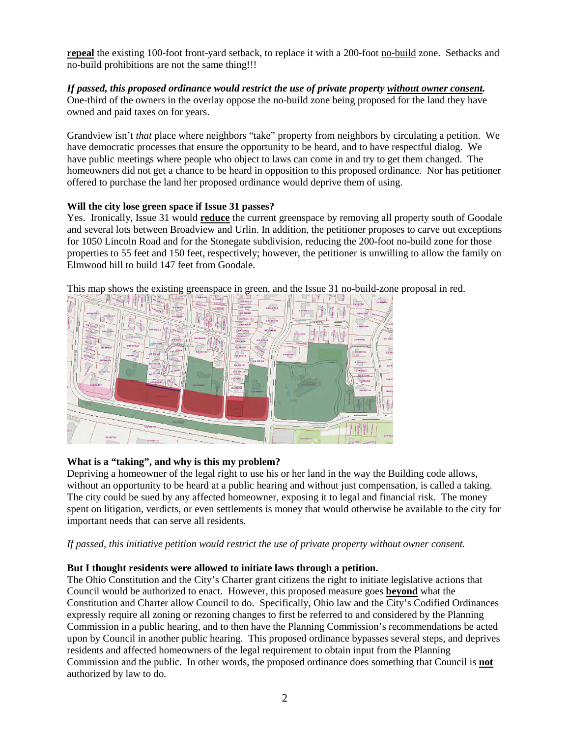**repeal** the existing 100-foot front-yard setback, to replace it with a 200-foot no-build zone. Setbacks and no-build prohibitions are not the same thing!!!

#### *If passed, this proposed ordinance would restrict the use of private property without owner consent.* One-third of the owners in the overlay oppose the no-build zone being proposed for the land they have owned and paid taxes on for years.

Grandview isn't *that* place where neighbors "take" property from neighbors by circulating a petition. We have democratic processes that ensure the opportunity to be heard, and to have respectful dialog. We have public meetings where people who object to laws can come in and try to get them changed. The homeowners did not get a chance to be heard in opposition to this proposed ordinance. Nor has petitioner offered to purchase the land her proposed ordinance would deprive them of using.

# **Will the city lose green space if Issue 31 passes?**

Yes. Ironically, Issue 31 would **reduce** the current greenspace by removing all property south of Goodale and several lots between Broadview and Urlin. In addition, the petitioner proposes to carve out exceptions for 1050 Lincoln Road and for the Stonegate subdivision, reducing the 200-foot no-build zone for those properties to 55 feet and 150 feet, respectively; however, the petitioner is unwilling to allow the family on Elmwood hill to build 147 feet from Goodale.



This map shows the existing greenspace in green, and the Issue 31 no-build-zone proposal in red.

# **What is a "taking", and why is this my problem?**

Depriving a homeowner of the legal right to use his or her land in the way the Building code allows, without an opportunity to be heard at a public hearing and without just compensation, is called a taking. The city could be sued by any affected homeowner, exposing it to legal and financial risk. The money spent on litigation, verdicts, or even settlements is money that would otherwise be available to the city for important needs that can serve all residents.

*If passed, this initiative petition would restrict the use of private property without owner consent.* 

## **But I thought residents were allowed to initiate laws through a petition.**

The Ohio Constitution and the City's Charter grant citizens the right to initiate legislative actions that Council would be authorized to enact. However, this proposed measure goes **beyond** what the Constitution and Charter allow Council to do. Specifically, Ohio law and the City's Codified Ordinances expressly require all zoning or rezoning changes to first be referred to and considered by the Planning Commission in a public hearing, and to then have the Planning Commission's recommendations be acted upon by Council in another public hearing. This proposed ordinance bypasses several steps, and deprives residents and affected homeowners of the legal requirement to obtain input from the Planning Commission and the public. In other words, the proposed ordinance does something that Council is **not** authorized by law to do.